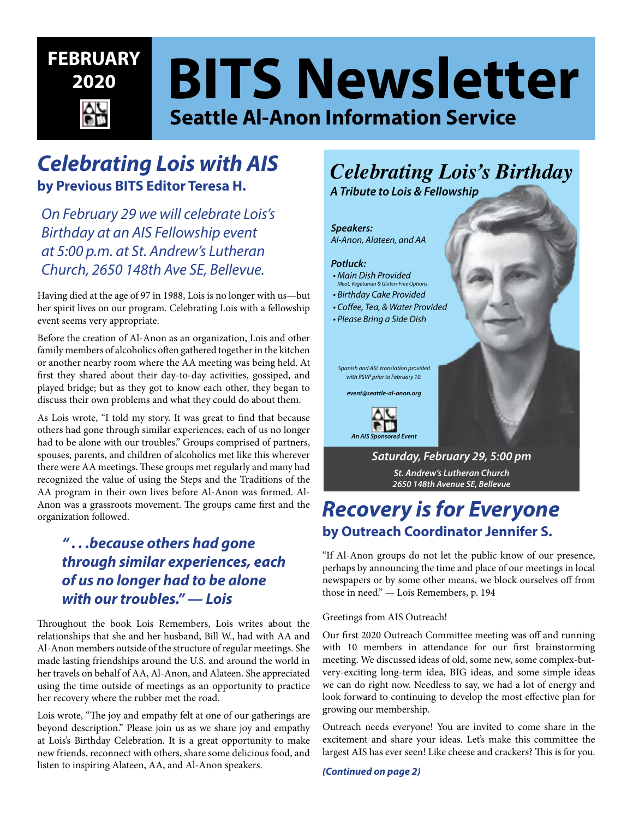# **BITS Newsletter Seattle Al-Anon Information Service FEBRUARY 2020**

# *Celebrating Lois with AIS* **by Previous BITS Editor Teresa H.**

*On February 29 we will celebrate Lois's Birthday at an AIS Fellowship event at 5:00 p.m. at St. Andrew's Lutheran Church, 2650 148th Ave SE, Bellevue.*

Having died at the age of 97 in 1988, Lois is no longer with us—but her spirit lives on our program. Celebrating Lois with a fellowship event seems very appropriate.

Before the creation of Al-Anon as an organization, Lois and other family members of alcoholics often gathered together in the kitchen or another nearby room where the AA meeting was being held. At first they shared about their day-to-day activities, gossiped, and played bridge; but as they got to know each other, they began to discuss their own problems and what they could do about them.

As Lois wrote, "I told my story. It was great to find that because others had gone through similar experiences, each of us no longer had to be alone with our troubles." Groups comprised of partners, spouses, parents, and children of alcoholics met like this wherever there were AA meetings. These groups met regularly and many had recognized the value of using the Steps and the Traditions of the AA program in their own lives before Al-Anon was formed. Al-Anon was a grassroots movement. The groups came first and the organization followed.

## *" . . .because others had gone through similar experiences, each of us no longer had to be alone with our troubles." — Lois*

Throughout the book Lois Remembers, Lois writes about the relationships that she and her husband, Bill W., had with AA and Al-Anon members outside of the structure of regular meetings. She made lasting friendships around the U.S. and around the world in her travels on behalf of AA, Al-Anon, and Alateen. She appreciated using the time outside of meetings as an opportunity to practice her recovery where the rubber met the road.

Lois wrote, "The joy and empathy felt at one of our gatherings are beyond description." Please join us as we share joy and empathy at Lois's Birthday Celebration. It is a great opportunity to make new friends, reconnect with others, share some delicious food, and listen to inspiring Alateen, AA, and Al-Anon speakers.

# *Celebrating Lois's Birthday*

*A Tribute to Lois & Fellowship*





# *Recovery is for Everyone* **by Outreach Coordinator Jennifer S.**

"If Al-Anon groups do not let the public know of our presence, perhaps by announcing the time and place of our meetings in local newspapers or by some other means, we block ourselves off from those in need." — Lois Remembers, p. 194

#### Greetings from AIS Outreach!

Our first 2020 Outreach Committee meeting was off and running with 10 members in attendance for our first brainstorming meeting. We discussed ideas of old, some new, some complex-butvery-exciting long-term idea, BIG ideas, and some simple ideas we can do right now. Needless to say, we had a lot of energy and look forward to continuing to develop the most effective plan for growing our membership.

Outreach needs everyone! You are invited to come share in the excitement and share your ideas. Let's make this committee the largest AIS has ever seen! Like cheese and crackers? This is for you.

*(Continued on page 2)*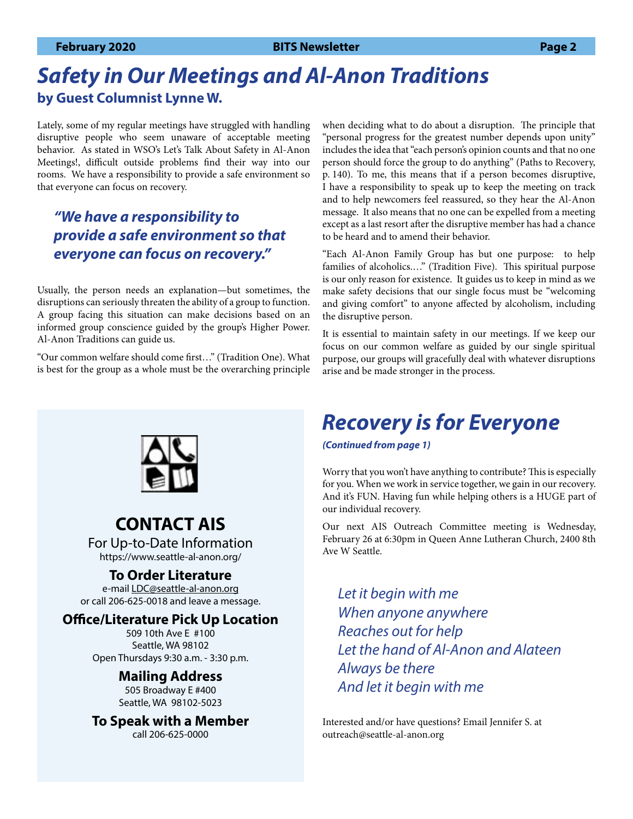# *Safety in Our Meetings and Al-Anon Traditions* **by Guest Columnist Lynne W.**

Lately, some of my regular meetings have struggled with handling disruptive people who seem unaware of acceptable meeting behavior. As stated in WSO's Let's Talk About Safety in Al-Anon Meetings!, difficult outside problems find their way into our rooms. We have a responsibility to provide a safe environment so that everyone can focus on recovery.

## *"We have a responsibility to provide a safe environment so that everyone can focus on recovery."*

Usually, the person needs an explanation—but sometimes, the disruptions can seriously threaten the ability of a group to function. A group facing this situation can make decisions based on an informed group conscience guided by the group's Higher Power. Al-Anon Traditions can guide us.

"Our common welfare should come first…" (Tradition One). What is best for the group as a whole must be the overarching principle when deciding what to do about a disruption. The principle that "personal progress for the greatest number depends upon unity" includes the idea that "each person's opinion counts and that no one person should force the group to do anything" (Paths to Recovery, p. 140). To me, this means that if a person becomes disruptive, I have a responsibility to speak up to keep the meeting on track and to help newcomers feel reassured, so they hear the Al-Anon message. It also means that no one can be expelled from a meeting except as a last resort after the disruptive member has had a chance to be heard and to amend their behavior.

"Each Al-Anon Family Group has but one purpose: to help families of alcoholics.…" (Tradition Five). This spiritual purpose is our only reason for existence. It guides us to keep in mind as we make safety decisions that our single focus must be "welcoming and giving comfort" to anyone affected by alcoholism, including the disruptive person.

It is essential to maintain safety in our meetings. If we keep our focus on our common welfare as guided by our single spiritual purpose, our groups will gracefully deal with whatever disruptions arise and be made stronger in the process.

### **CONTACT AIS** For Up-to-Date Information https://www.seattle-al-anon.org/

**To Order Literature**

e-mail [LDC@seattle-al-anon.org](mailto:LDC%40seattle-al-anon.org?subject=) or call 206-625-0018 and leave a message.

### **Office/Literature Pick Up Location**

509 10th Ave E #100 Seattle, WA 98102 Open Thursdays 9:30 a.m. - 3:30 p.m.

### **Mailing Address**

505 Broadway E #400 Seattle, WA 98102-5023

**To Speak with a Member**

call 206-625-0000

# *Recovery is for Everyone*

#### *(Continued from page 1)*

Worry that you won't have anything to contribute? This is especially for you. When we work in service together, we gain in our recovery. And it's FUN. Having fun while helping others is a HUGE part of our individual recovery.

Our next AIS Outreach Committee meeting is Wednesday, February 26 at 6:30pm in Queen Anne Lutheran Church, 2400 8th Ave W Seattle.

*Let it begin with me When anyone anywhere Reaches out for help Let the hand of Al-Anon and Alateen Always be there And let it begin with me*

Interested and/or have questions? Email Jennifer S. at outreach@seattle-al-anon.org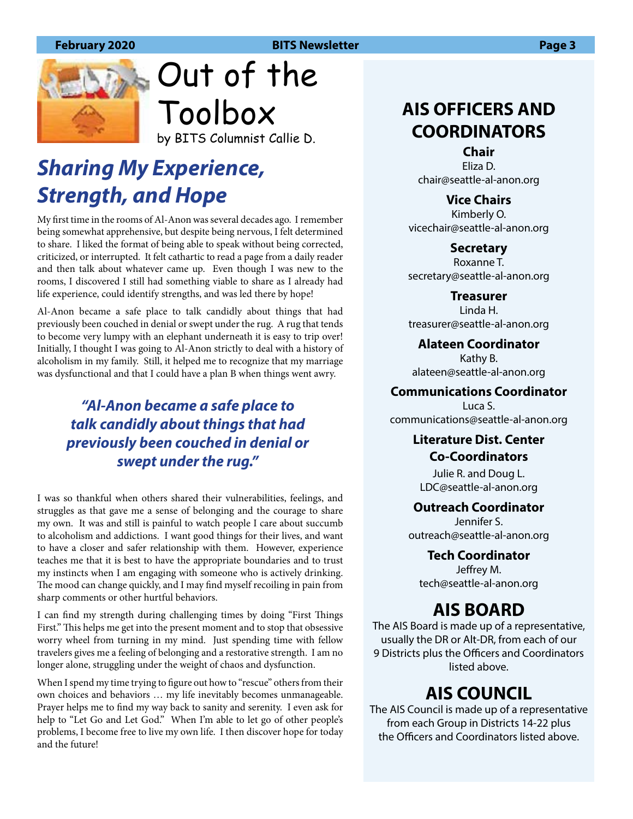

Out of the Toolbox by BITS Columnist Callie D.

# *Sharing My Experience, Strength, and Hope*

My first time in the rooms of Al-Anon was several decades ago. I remember being somewhat apprehensive, but despite being nervous, I felt determined to share. I liked the format of being able to speak without being corrected, criticized, or interrupted. It felt cathartic to read a page from a daily reader and then talk about whatever came up. Even though I was new to the rooms, I discovered I still had something viable to share as I already had life experience, could identify strengths, and was led there by hope!

Al-Anon became a safe place to talk candidly about things that had previously been couched in denial or swept under the rug. A rug that tends to become very lumpy with an elephant underneath it is easy to trip over! Initially, I thought I was going to Al-Anon strictly to deal with a history of alcoholism in my family. Still, it helped me to recognize that my marriage was dysfunctional and that I could have a plan B when things went awry.

## *"Al-Anon became a safe place to talk candidly about things that had previously been couched in denial or swept under the rug."*

I was so thankful when others shared their vulnerabilities, feelings, and struggles as that gave me a sense of belonging and the courage to share my own. It was and still is painful to watch people I care about succumb to alcoholism and addictions. I want good things for their lives, and want to have a closer and safer relationship with them. However, experience teaches me that it is best to have the appropriate boundaries and to trust my instincts when I am engaging with someone who is actively drinking. The mood can change quickly, and I may find myself recoiling in pain from sharp comments or other hurtful behaviors.

I can find my strength during challenging times by doing "First Things First." This helps me get into the present moment and to stop that obsessive worry wheel from turning in my mind. Just spending time with fellow travelers gives me a feeling of belonging and a restorative strength. I am no longer alone, struggling under the weight of chaos and dysfunction.

When I spend my time trying to figure out how to "rescue" others from their own choices and behaviors … my life inevitably becomes unmanageable. Prayer helps me to find my way back to sanity and serenity. I even ask for help to "Let Go and Let God." When I'm able to let go of other people's problems, I become free to live my own life. I then discover hope for today and the future!

# **AIS OFFICERS AND COORDINATORS**

**Chair** Eliza D. [chair@seattle-al-anon.org](mailto:chair%40seattle-al-anon.org?subject=)

**Vice Chairs**

Kimberly O. [vicechair@seattle-al-anon.org](mailto:vicechair%40seattle-al-anon.org?subject=)

**Secretary** Roxanne T. [secretary@seattle-al-anon.org](mailto:secretary%40seattle-al-anon.org?subject=)

**Treasurer** Linda H. [treasurer@seattle-al-anon.org](mailto:treasurer%40seattle-al-anon.org?subject=)

**Alateen Coordinator** Kathy B. [alateen@seattle-al-anon.org](http://alateen@seattle-al-anon.org)

**Communications Coordinator**

Luca S. [communications@seattle-al-anon.org](mailto:communications%40seattle-al-anon.org?subject=)

### **Literature Dist. Center Co-Coordinators**

Julie R. and Doug L. [LDC@seattle-al-anon.org](mailto:LDC%40seattle-al-anon.org?subject=)

#### **Outreach Coordinator**

Jennifer S. [outreach@seattle-al-anon.org](mailto:outreach%40seattle-al-anon.org?subject=)

#### **Tech Coordinator**

Jeffrey M. tech[@seattle-al-anon.org](mailto:phones%40seattle-al-anon.org?subject=)

# **AIS BOARD**

The AIS Board is made up of a representative, usually the DR or Alt-DR, from each of our 9 Districts plus the Officers and Coordinators listed above.

# **AIS COUNCIL**

The AIS Council is made up of a representative from each Group in Districts 14-22 plus the Officers and Coordinators listed above.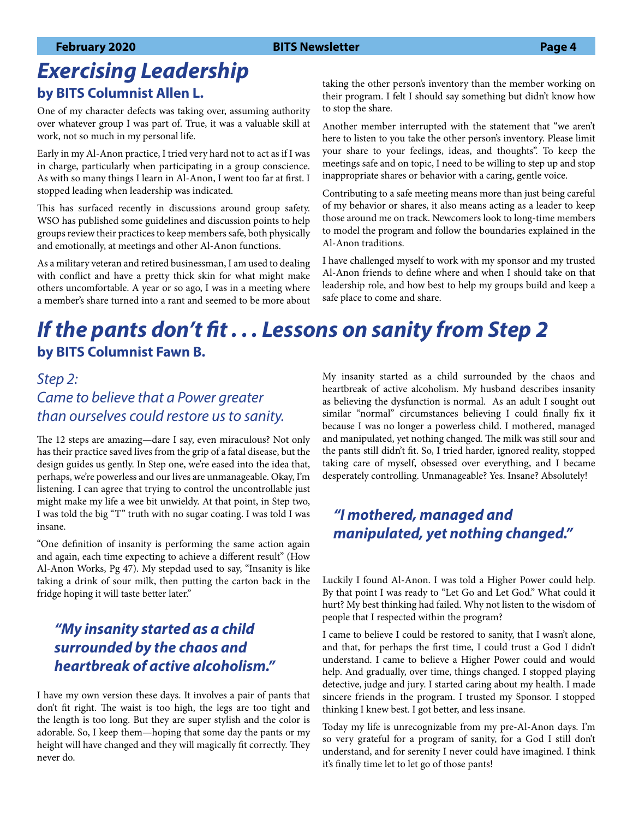# *Exercising Leadership* **by BITS Columnist Allen L.**

One of my character defects was taking over, assuming authority over whatever group I was part of. True, it was a valuable skill at work, not so much in my personal life.

Early in my Al-Anon practice, I tried very hard not to act as if I was in charge, particularly when participating in a group conscience. As with so many things I learn in Al-Anon, I went too far at first. I stopped leading when leadership was indicated.

This has surfaced recently in discussions around group safety. WSO has published some guidelines and discussion points to help groups review their practices to keep members safe, both physically and emotionally, at meetings and other Al-Anon functions.

As a military veteran and retired businessman, I am used to dealing with conflict and have a pretty thick skin for what might make others uncomfortable. A year or so ago, I was in a meeting where a member's share turned into a rant and seemed to be more about taking the other person's inventory than the member working on their program. I felt I should say something but didn't know how to stop the share.

Another member interrupted with the statement that "we aren't here to listen to you take the other person's inventory. Please limit your share to your feelings, ideas, and thoughts". To keep the meetings safe and on topic, I need to be willing to step up and stop inappropriate shares or behavior with a caring, gentle voice.

Contributing to a safe meeting means more than just being careful of my behavior or shares, it also means acting as a leader to keep those around me on track. Newcomers look to long-time members to model the program and follow the boundaries explained in the Al-Anon traditions.

I have challenged myself to work with my sponsor and my trusted Al-Anon friends to define where and when I should take on that leadership role, and how best to help my groups build and keep a safe place to come and share.

# *If the pants don't fit . . . Lessons on sanity from Step 2* **by BITS Columnist Fawn B.**

## *Step 2: Came to believe that a Power greater than ourselves could restore us to sanity.*

The 12 steps are amazing—dare I say, even miraculous? Not only has their practice saved lives from the grip of a fatal disease, but the design guides us gently. In Step one, we're eased into the idea that, perhaps, we're powerless and our lives are unmanageable. Okay, I'm listening. I can agree that trying to control the uncontrollable just might make my life a wee bit unwieldy. At that point, in Step two, I was told the big "T" truth with no sugar coating. I was told I was insane.

"One definition of insanity is performing the same action again and again, each time expecting to achieve a different result" (How Al-Anon Works, Pg 47). My stepdad used to say, "Insanity is like taking a drink of sour milk, then putting the carton back in the fridge hoping it will taste better later."

## *"My insanity started as a child surrounded by the chaos and heartbreak of active alcoholism."*

I have my own version these days. It involves a pair of pants that don't fit right. The waist is too high, the legs are too tight and the length is too long. But they are super stylish and the color is adorable. So, I keep them—hoping that some day the pants or my height will have changed and they will magically fit correctly. They never do.

My insanity started as a child surrounded by the chaos and heartbreak of active alcoholism. My husband describes insanity as believing the dysfunction is normal. As an adult I sought out similar "normal" circumstances believing I could finally fix it because I was no longer a powerless child. I mothered, managed and manipulated, yet nothing changed. The milk was still sour and the pants still didn't fit. So, I tried harder, ignored reality, stopped taking care of myself, obsessed over everything, and I became desperately controlling. Unmanageable? Yes. Insane? Absolutely!

## *"I mothered, managed and manipulated, yet nothing changed."*

Luckily I found Al-Anon. I was told a Higher Power could help. By that point I was ready to "Let Go and Let God." What could it hurt? My best thinking had failed. Why not listen to the wisdom of people that I respected within the program?

I came to believe I could be restored to sanity, that I wasn't alone, and that, for perhaps the first time, I could trust a God I didn't understand. I came to believe a Higher Power could and would help. And gradually, over time, things changed. I stopped playing detective, judge and jury. I started caring about my health. I made sincere friends in the program. I trusted my Sponsor. I stopped thinking I knew best. I got better, and less insane.

Today my life is unrecognizable from my pre-Al-Anon days. I'm so very grateful for a program of sanity, for a God I still don't understand, and for serenity I never could have imagined. I think it's finally time let to let go of those pants!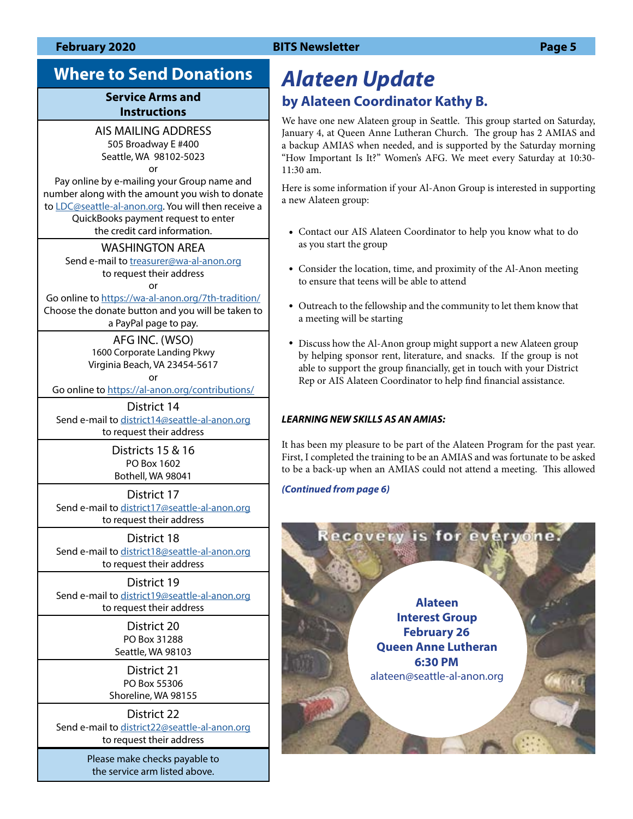# **Where to Send Donations**

#### **Service Arms and Instructions**

### AIS MAILING ADDRESS

505 Broadway E #400 Seattle, WA 98102-5023 or

Pay online by e-mailing your Group name and number along with the amount you wish to donate to [LDC@seattle-al-anon.org](mailto:LDC%40seattle-al-anon.org?subject=). You will then receive a QuickBooks payment request to enter the credit card information.

#### WASHINGTON AREA

Send e-mail to [treasurer@wa-al-anon.org](mailto:treasurer%40wa-al-anon.org?subject=) to request their address

### or

Go online to https://[wa-al-anon.org/7th-tradition/](http://www.wa-al-anon.org/7th-tradition/) Choose the donate button and you will be taken to a PayPal page to pay.

> AFG INC. (WSO) 1600 Corporate Landing Pkwy Virginia Beach, VA 23454-5617

> > or

Go online to https://[al-anon.org/contributions/](http://www.al-anon.org/contributions/)

District 14 Send e-mail to [district14@seattle-al-anon.org](mailto:district14%40seattle-al-anon.org?subject=) to request their address

> Districts 15 & 16 PO Box 1602 Bothell, WA 98041

District 17 Send e-mail to [district17@seattle-al-anon.org](mailto:district17%40seattle-al-anon.org?subject=) to request their address

#### District 18

Send e-mail to district18@seattle-al-anon.org to request their address

District 19 Send e-mail to [district19@seattle-al-anon.org](mailto:district19%40seattle-al-anon.org?subject=) to request their address

> District 20 PO Box 31288 Seattle, WA 98103

District 21 PO Box 55306 Shoreline, WA 98155

District 22 Send e-mail to [district22@seattle-al-anon.org](mailto:district19%40seattle-al-anon.org?subject=) to request their address

> Please make checks payable to the service arm listed above.

# *Alateen Update* **by Alateen Coordinator Kathy B.**

We have one new Alateen group in Seattle. This group started on Saturday, January 4, at Queen Anne Lutheran Church. The group has 2 AMIAS and a backup AMIAS when needed, and is supported by the Saturday morning "How Important Is It?" Women's AFG. We meet every Saturday at 10:30- 11:30 am.

Here is some information if your Al-Anon Group is interested in supporting a new Alateen group:

- Contact our AIS Alateen Coordinator to help you know what to do as you start the group
- Consider the location, time, and proximity of the Al-Anon meeting to ensure that teens will be able to attend
- Outreach to the fellowship and the community to let them know that a meeting will be starting
- Discuss how the Al-Anon group might support a new Alateen group by helping sponsor rent, literature, and snacks. If the group is not able to support the group financially, get in touch with your District Rep or AIS Alateen Coordinator to help find financial assistance.

#### *LEARNING NEW SKILLS AS AN AMIAS:*

It has been my pleasure to be part of the Alateen Program for the past year. First, I completed the training to be an AMIAS and was fortunate to be asked to be a back-up when an AMIAS could not attend a meeting. This allowed

#### *(Continued from page 6)*

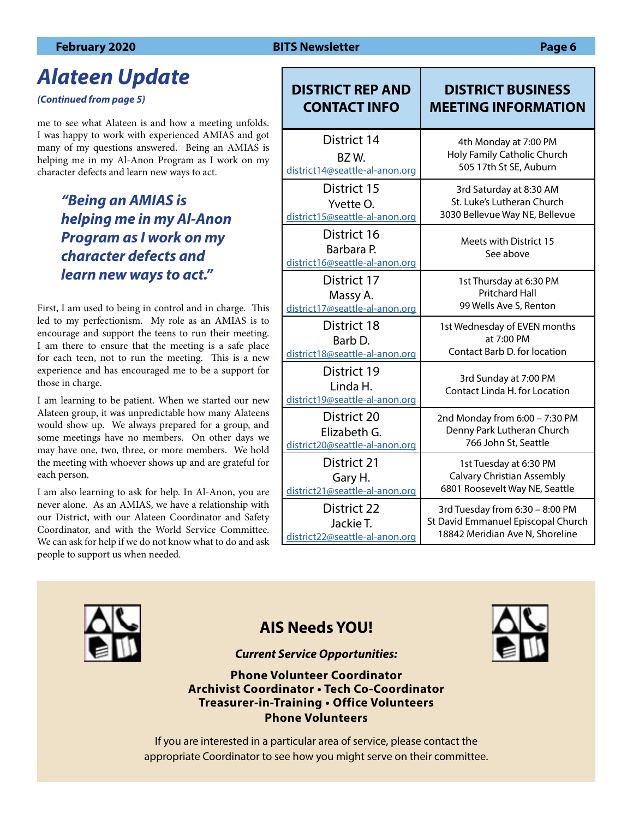# *Alateen Update*

*(Continued from page 5)*

me to see what Alateen is and how a meeting unfolds. I was happy to work with experienced AMIAS and got many of my questions answered. Being an AMIAS is helping me in my Al-Anon Program as I work on my character defects and learn new ways to act.

## *"Being an AMIAS is helping me in my Al-Anon Program as I work on my character defects and learn new ways to act."*

First, I am used to being in control and in charge. This led to my perfectionism. My role as an AMIAS is to encourage and support the teens to run their meeting. I am there to ensure that the meeting is a safe place for each teen, not to run the meeting. This is a new experience and has encouraged me to be a support for those in charge.

I am learning to be patient. When we started our new Alateen group, it was unpredictable how many Alateens would show up. We always prepared for a group, and some meetings have no members. On other days we may have one, two, three, or more members. We hold the meeting with whoever shows up and are grateful for each person.

I am also learning to ask for help. In Al-Anon, you are never alone. As an AMIAS, we have a relationship with our District, with our Alateen Coordinator and Safety Coordinator, and with the World Service Committee. We can ask for help if we do not know what to do and ask people to support us when needed.

| <b>DISTRICT REP AND</b>                                     | <b>DISTRICT BUSINESS</b>                               |
|-------------------------------------------------------------|--------------------------------------------------------|
| <b>CONTACT INFO</b>                                         | <b>MEETING INFORMATION</b>                             |
| <b>District 14</b>                                          | 4th Monday at 7:00 PM                                  |
| BZW.                                                        | Holy Family Catholic Church                            |
| district14@seattle-al-anon.org                              | 505 17th St SE, Auburn                                 |
| District 15                                                 | 3rd Saturday at 8:30 AM                                |
| Yvette O.                                                   | St. Luke's Lutheran Church                             |
| district15@seattle-al-anon.org                              | 3030 Bellevue Way NE, Bellevue                         |
| District 16<br>Barbara P.<br>district16@seattle-al-anon.org | Meets with District 15<br>See above                    |
| District 17                                                 | 1st Thursday at 6:30 PM                                |
| Massy A.                                                    | <b>Pritchard Hall</b>                                  |
| district17@seattle-al-anon.org                              | 99 Wells Ave S, Renton                                 |
| District 18                                                 | 1st Wednesday of EVEN months                           |
| Barb D.                                                     | at 7:00 PM                                             |
| district18@seattle-al-anon.org                              | Contact Barb D. for location                           |
| District 19<br>Linda H.<br>district19@seattle-al-anon.org   | 3rd Sunday at 7:00 PM<br>Contact Linda H. for Location |
| District 20                                                 | 2nd Monday from 6:00 - 7:30 PM                         |
| Elizabeth G.                                                | Denny Park Lutheran Church                             |
| district20@seattle-al-anon.org                              | 766 John St, Seattle                                   |
| <b>District 21</b>                                          | 1st Tuesday at 6:30 PM                                 |
| Gary H.                                                     | <b>Calvary Christian Assembly</b>                      |
| district21@seattle-al-anon.org                              | 6801 Roosevelt Way NE, Seattle                         |
| <b>District 22</b>                                          | 3rd Tuesday from 6:30 - 8:00 PM                        |
| Jackie T.                                                   | St David Emmanuel Episcopal Church                     |
| district22@seattle-al-anon.org                              | 18842 Meridian Ave N, Shoreline                        |



## **AIS Needs YOU!**

#### *Current Service Opportunities:*

**Phone Volunteer Coordinator Archivist Coordinator • Tech Co-Coordinator Treasurer-in-Training • Office Volunteers Phone Volunteers**



If you are interested in a particular area of service, please contact the appropriate Coordinator to see how you might serve on their committee.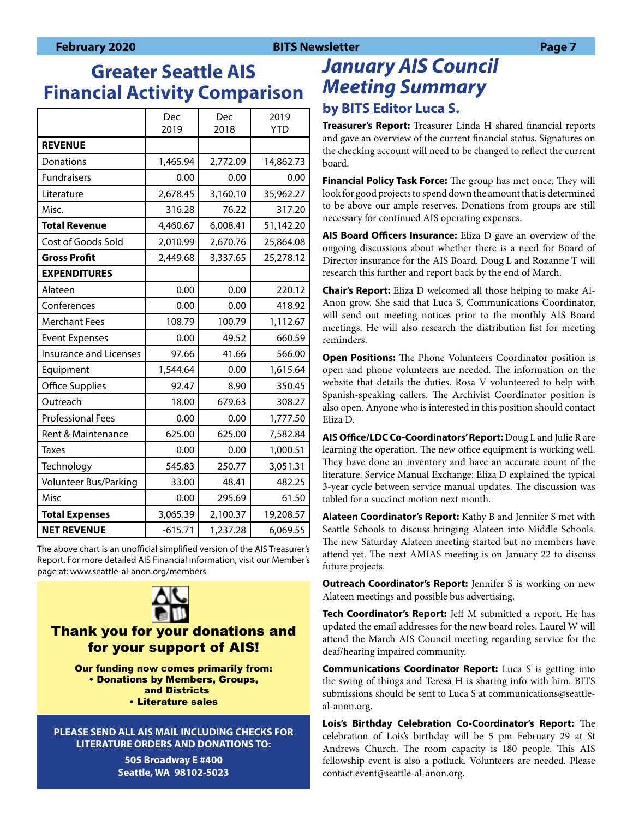# **Greater Seattle AIS Financial Activity Comparison**

|                               | Dec<br>2019 | Dec<br>2018 | 2019<br><b>YTD</b> |
|-------------------------------|-------------|-------------|--------------------|
| <b>REVENUE</b>                |             |             |                    |
| Donations                     | 1,465.94    | 2,772.09    | 14,862.73          |
| <b>Fundraisers</b>            | 0.00        | 0.00        | 0.00               |
| Literature                    | 2,678.45    | 3,160.10    | 35,962.27          |
| Misc.                         | 316.28      | 76.22       | 317.20             |
| <b>Total Revenue</b>          | 4,460.67    | 6,008.41    | 51,142.20          |
| Cost of Goods Sold            | 2,010.99    | 2,670.76    | 25,864.08          |
| <b>Gross Profit</b>           | 2,449.68    | 3,337.65    | 25,278.12          |
| <b>EXPENDITURES</b>           |             |             |                    |
| Alateen                       | 0.00        | 0.00        | 220.12             |
| Conferences                   | 0.00        | 0.00        | 418.92             |
| <b>Merchant Fees</b>          | 108.79      | 100.79      | 1,112.67           |
| <b>Event Expenses</b>         | 0.00        | 49.52       | 660.59             |
| <b>Insurance and Licenses</b> | 97.66       | 41.66       | 566.00             |
| Equipment                     | 1,544.64    | 0.00        | 1,615.64           |
| Office Supplies               | 92.47       | 8.90        | 350.45             |
| Outreach                      | 18.00       | 679.63      | 308.27             |
| <b>Professional Fees</b>      | 0.00        | 0.00        | 1,777.50           |
| Rent & Maintenance            | 625.00      | 625.00      | 7,582.84           |
| <b>Taxes</b>                  | 0.00        | 0.00        | 1,000.51           |
| Technology                    | 545.83      | 250.77      | 3,051.31           |
| Volunteer Bus/Parking         | 33.00       | 48.41       | 482.25             |
| Misc                          | 0.00        | 295.69      | 61.50              |
| <b>Total Expenses</b>         | 3,065.39    | 2,100.37    | 19,208.57          |
| <b>NET REVENUE</b>            | $-615.71$   | 1,237.28    | 6,069.55           |

The above chart is an unofficial simplified version of the AIS Treasurer's Report. For more detailed AIS Financial information, visit our Member's page at: www.seattle-al-anon.org/members



## Thank you for your donations and for your support of AIS!

Our funding now comes primarily from: • Donations by Members, Groups, and Districts • Literature sales

**PLEASE SEND ALL AIS MAIL INCLUDING CHECKS FOR LITERATURE ORDERS AND DONATIONS TO:**

> **505 Broadway E #400 Seattle, WA 98102-5023**

# *January AIS Council Meeting Summary* **by BITS Editor Luca S.**

**Treasurer's Report:** Treasurer Linda H shared financial reports and gave an overview of the current financial status. Signatures on the checking account will need to be changed to reflect the current board.

**Financial Policy Task Force:** The group has met once. They will look for good projects to spend down the amount that is determined to be above our ample reserves. Donations from groups are still necessary for continued AIS operating expenses.

**AIS Board Officers Insurance:** Eliza D gave an overview of the ongoing discussions about whether there is a need for Board of Director insurance for the AIS Board. Doug L and Roxanne T will research this further and report back by the end of March.

**Chair's Report:** Eliza D welcomed all those helping to make Al-Anon grow. She said that Luca S, Communications Coordinator, will send out meeting notices prior to the monthly AIS Board meetings. He will also research the distribution list for meeting reminders.

**Open Positions:** The Phone Volunteers Coordinator position is open and phone volunteers are needed. The information on the website that details the duties. Rosa V volunteered to help with Spanish-speaking callers. The Archivist Coordinator position is also open. Anyone who is interested in this position should contact Eliza D.

**AIS Office/LDC Co-Coordinators' Report:** Doug L and Julie R are learning the operation. The new office equipment is working well. They have done an inventory and have an accurate count of the literature. Service Manual Exchange: Eliza D explained the typical 3-year cycle between service manual updates. The discussion was tabled for a succinct motion next month.

**Alateen Coordinator's Report:** Kathy B and Jennifer S met with Seattle Schools to discuss bringing Alateen into Middle Schools. The new Saturday Alateen meeting started but no members have attend yet. The next AMIAS meeting is on January 22 to discuss future projects.

**Outreach Coordinator's Report:** Jennifer S is working on new Alateen meetings and possible bus advertising.

**Tech Coordinator's Report:** Jeff M submitted a report. He has updated the email addresses for the new board roles. Laurel W will attend the March AIS Council meeting regarding service for the deaf/hearing impaired community.

**Communications Coordinator Report:** Luca S is getting into the swing of things and Teresa H is sharing info with him. BITS submissions should be sent to Luca S at communications@seattleal-anon.org.

**Lois's Birthday Celebration Co-Coordinator's Report:** The celebration of Lois's birthday will be 5 pm February 29 at St Andrews Church. The room capacity is 180 people. This AIS fellowship event is also a potluck. Volunteers are needed. Please contact event@seattle-al-anon.org.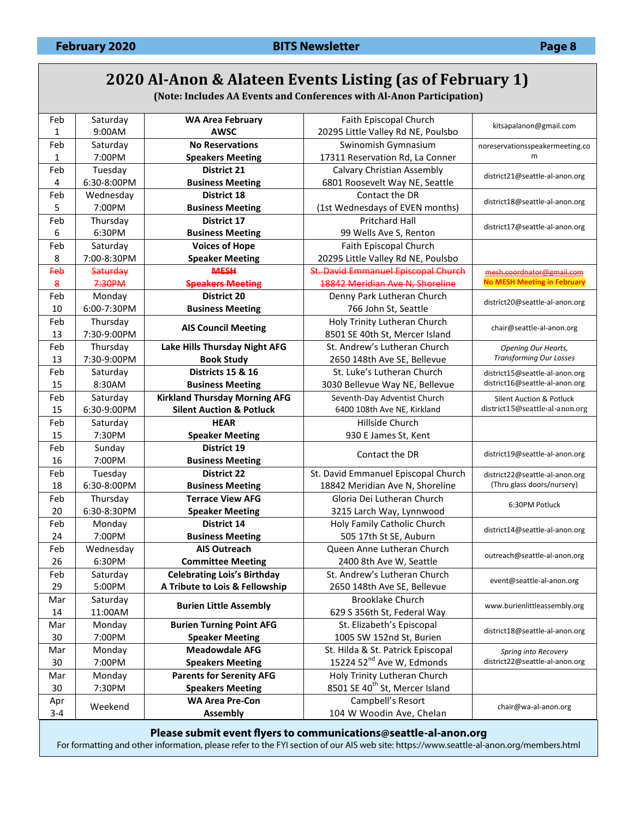# **2020 Al-Anon & Alateen Events Listing (as of February 1)**

**(Note: Includes AA Events and Conferences with Al-Anon Participation)**

| Feb              | Saturday            | <b>WA Area February</b>                        | Faith Episcopal Church                               | kitsapalanon@gmail.com                                 |
|------------------|---------------------|------------------------------------------------|------------------------------------------------------|--------------------------------------------------------|
| 1                | 9:00AM              | <b>AWSC</b>                                    | 20295 Little Valley Rd NE, Poulsbo                   |                                                        |
| Feb              | Saturday            | <b>No Reservations</b>                         | Swinomish Gymnasium                                  | noreservationsspeakermeeting.co                        |
| 1                | 7:00PM              | <b>Speakers Meeting</b>                        | 17311 Reservation Rd, La Conner                      | m                                                      |
| Feb              | Tuesday             | <b>District 21</b>                             | Calvary Christian Assembly                           | district21@seattle-al-anon.org                         |
| 4                | 6:30-8:00PM         | <b>Business Meeting</b>                        | 6801 Roosevelt Way NE, Seattle                       |                                                        |
| Feb              | Wednesday           | <b>District 18</b>                             | Contact the DR                                       | district18@seattle-al-anon.org                         |
| 5                | 7:00PM              | <b>Business Meeting</b>                        | (1st Wednesdays of EVEN months)                      |                                                        |
| Feb              | Thursday            | District 17                                    | <b>Pritchard Hall</b>                                |                                                        |
| 6                | 6:30PM              | <b>Business Meeting</b>                        | 99 Wells Ave S, Renton                               | district17@seattle-al-anon.org                         |
| Feb              | Saturday            | <b>Voices of Hope</b>                          | Faith Episcopal Church                               |                                                        |
| 8                | 7:00-8:30PM         | <b>Speaker Meeting</b>                         | 20295 Little Valley Rd NE, Poulsbo                   |                                                        |
| <b>Feb</b>       | Saturday            | <b>MESH</b>                                    | St. David Emmanuel Episcopal Church                  | mesh.coordnator@gmail.com                              |
| $\boldsymbol{8}$ | 7:30PM              | <b>Speakers Meeting</b>                        | 18842 Meridian Ave N, Shoreline                      | <b>No MESH Meeting in February</b>                     |
| Feb              | Monday              | District 20                                    | Denny Park Lutheran Church                           |                                                        |
| 10               | 6:00-7:30PM         | <b>Business Meeting</b>                        | 766 John St, Seattle                                 | district20@seattle-al-anon.org                         |
| Feb              | Thursday            |                                                | Holy Trinity Lutheran Church                         |                                                        |
| 13               | 7:30-9:00PM         | <b>AIS Council Meeting</b>                     | 8501 SE 40th St, Mercer Island                       | chair@seattle-al-anon.org                              |
| Feb              | Thursday            | Lake Hills Thursday Night AFG                  | St. Andrew's Lutheran Church                         | Opening Our Hearts,                                    |
| 13               | 7:30-9:00PM         | <b>Book Study</b>                              | 2650 148th Ave SE, Bellevue                          | <b>Transforming Our Losses</b>                         |
| Feb              | Saturday            | <b>Districts 15 &amp; 16</b>                   | St. Luke's Lutheran Church                           | district15@seattle-al-anon.org                         |
| 15               | 8:30AM              | <b>Business Meeting</b>                        | 3030 Bellevue Way NE, Bellevue                       | district16@seattle-al-anon.org                         |
| Feb              | Saturday            | <b>Kirkland Thursday Morning AFG</b>           | Seventh-Day Adventist Church                         | <b>Silent Auction &amp; Potluck</b>                    |
| 15               | 6:30-9:00PM         | <b>Silent Auction &amp; Potluck</b>            | 6400 108th Ave NE, Kirkland                          | district15@seattle-al-anon.org                         |
| Feb              | Saturday            | <b>HEAR</b>                                    | Hillside Church                                      |                                                        |
| 15               | 7:30PM              | <b>Speaker Meeting</b>                         | 930 E James St, Kent                                 |                                                        |
| Feb              | Sunday              | District 19                                    | Contact the DR                                       |                                                        |
| 16               |                     |                                                |                                                      |                                                        |
|                  | 7:00PM              | <b>Business Meeting</b>                        |                                                      | district19@seattle-al-anon.org                         |
| Feb              | Tuesday             | <b>District 22</b>                             | St. David Emmanuel Episcopal Church                  | district22@seattle-al-anon.org                         |
| 18               | 6:30-8:00PM         | <b>Business Meeting</b>                        | 18842 Meridian Ave N, Shoreline                      | (Thru glass doors/nursery)                             |
| Feb              | Thursday            | <b>Terrace View AFG</b>                        | Gloria Dei Lutheran Church                           |                                                        |
| 20               | 6:30-8:30PM         | <b>Speaker Meeting</b>                         | 3215 Larch Way, Lynnwood                             | 6:30PM Potluck                                         |
| Feb              |                     | <b>District 14</b>                             | Holy Family Catholic Church                          |                                                        |
| 24               | Monday<br>7:00PM    |                                                |                                                      | district14@seattle-al-anon.org                         |
| Feb              |                     | <b>Business Meeting</b><br><b>AIS Outreach</b> | 505 17th St SE, Auburn<br>Queen Anne Lutheran Church |                                                        |
| 26               | Wednesday<br>6:30PM |                                                |                                                      | outreach@seattle-al-anon.org                           |
|                  |                     | <b>Committee Meeting</b>                       | 2400 8th Ave W, Seattle                              |                                                        |
| Feb              | Saturday            | <b>Celebrating Lois's Birthday</b>             | St. Andrew's Lutheran Church                         | event@seattle-al-anon.org                              |
| 29               | 5:00PM              | A Tribute to Lois & Fellowship                 | 2650 148th Ave SE, Bellevue                          |                                                        |
| Mar              | Saturday            | <b>Burien Little Assembly</b>                  | <b>Brooklake Church</b>                              | www.burienlittleassembly.org                           |
| 14               | 11:00AM             |                                                | 629 S 356th St, Federal Way                          |                                                        |
| Mar              | Monday              | <b>Burien Turning Point AFG</b>                | St. Elizabeth's Episcopal                            | district18@seattle-al-anon.org                         |
| 30               | 7:00PM              | <b>Speaker Meeting</b>                         | 1005 SW 152nd St, Burien                             |                                                        |
| Mar              | Monday              | <b>Meadowdale AFG</b>                          | St. Hilda & St. Patrick Episcopal                    | Spring into Recovery<br>district22@seattle-al-anon.org |
| 30               | 7:00PM              | <b>Speakers Meeting</b>                        | 15224 52 <sup>nd</sup> Ave W, Edmonds                |                                                        |
| Mar              | Monday              | <b>Parents for Serenity AFG</b>                | Holy Trinity Lutheran Church                         |                                                        |
| 30               | 7:30PM              | <b>Speakers Meeting</b>                        | 8501 SE 40 <sup>th</sup> St, Mercer Island           |                                                        |
| Apr<br>$3 - 4$   | Weekend             | <b>WA Area Pre-Con</b><br><b>Assembly</b>      | Campbell's Resort<br>104 W Woodin Ave, Chelan        | chair@wa-al-anon.org                                   |

**Please submit event flyers to communications@seattle-al-anon.org**

For formatting and other information, please refer to the FYI section of our AIS web site: https://www.seattle-al-anon.org/members.html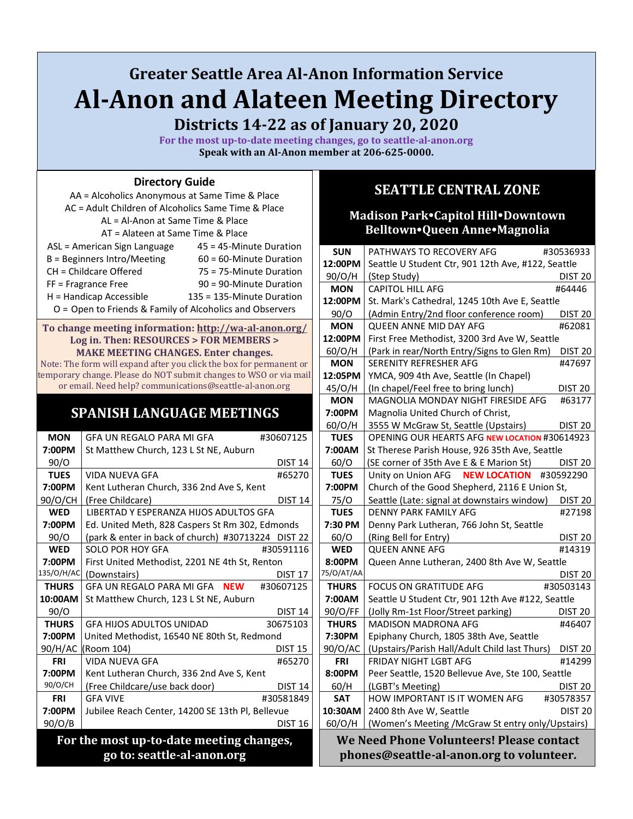# **Greater Seattle Area Al-Anon Information Service Al-Anon and Alateen Meeting Directory**

**Districts 14-22 as of January 20, 2020**

**For the most up-to-date meeting changes, go to seattle-al-anon.org Speak with an Al-Anon member at 206-625-0000.**

#### **Directory Guide**

| AA = Alcoholics Anonymous at Same Time & Place      |                                                            |  |  |  |
|-----------------------------------------------------|------------------------------------------------------------|--|--|--|
| AC = Adult Children of Alcoholics Same Time & Place |                                                            |  |  |  |
| AL = Al-Anon at Same Time & Place                   |                                                            |  |  |  |
| AT = Alateen at Same Time & Place                   |                                                            |  |  |  |
| ASL = American Sign Language                        | 45 = 45-Minute Duration                                    |  |  |  |
| B = Beginners Intro/Meeting                         | $60 = 60$ -Minute Duration                                 |  |  |  |
| CH = Childcare Offered                              | 75 = 75-Minute Duration                                    |  |  |  |
| FF = Fragrance Free                                 | 90 = 90-Minute Duration                                    |  |  |  |
| H = Handicap Accessible                             | 135 = 135-Minute Duration                                  |  |  |  |
|                                                     | $O =$ Open to Friends & Family of Alcoholics and Observers |  |  |  |
|                                                     |                                                            |  |  |  |

#### **To change meeting information: <http://wa-al-anon.org/> Log in. Then: RESOURCES > FOR MEMBERS > MAKE MEETING CHANGES. Enter changes.**

Note: The form will expand after you click the box for permanent or temporary change. Please do NOT submit changes to WSO or via mail or email. Need help? communications@seattle-al-anon.org

## **SPANISH LANGUAGE MEETINGS**

| <b>MON</b>                 | GFA UN REGALO PARA MI GFA                          | #30607125      |
|----------------------------|----------------------------------------------------|----------------|
| 7:00PM                     | St Matthew Church, 123 L St NE, Auburn             |                |
| 90/O                       |                                                    | <b>DIST 14</b> |
| <b>TUES</b>                | VIDA NUFVA GFA                                     | #65270         |
| 7:00PM                     | Kent Lutheran Church, 336 2nd Ave S, Kent          |                |
| 90/O/CH                    | (Free Childcare)                                   | <b>DIST 14</b> |
| <b>WED</b>                 | LIBERTAD Y ESPERANZA HIJOS ADULTOS GFA             |                |
| 7:00PM                     | Ed. United Meth, 828 Caspers St Rm 302, Edmonds    |                |
| 90/O                       | (park & enter in back of church) #30713224 DIST 22 |                |
| <b>WED</b>                 | SOLO POR HOY GFA                                   | #30591116      |
| 7:00PM                     | First United Methodist, 2201 NE 4th St, Renton     |                |
| 135/O/H/AC                 | (Downstairs)                                       | <b>DIST 17</b> |
| <b>THURS</b>               | GFA UN REGALO PARA MI GFA NEW                      | #30607125      |
| 10:00AM                    | St Matthew Church, 123 L St NE, Auburn             |                |
| 90/O                       |                                                    | <b>DIST 14</b> |
| <b>THURS</b>               | <b>GFA HIJOS ADULTOS UNIDAD</b>                    | 30675103       |
| 7:00PM                     | United Methodist, 16540 NE 80th St, Redmond        |                |
| 90/H/AC                    | (Room 104)                                         | <b>DIST 15</b> |
| <b>FRI</b>                 | VIDA NUEVA GFA                                     | #65270         |
| 7:00PM                     | Kent Lutheran Church, 336 2nd Ave S, Kent          |                |
| 90/O/CH                    | (Free Childcare/use back door)                     | <b>DIST 14</b> |
| <b>FRI</b>                 | <b>GFA VIVE</b>                                    | #30581849      |
| 7:00PM                     | Jubilee Reach Center, 14200 SE 13th Pl, Bellevue   |                |
| 90/O/B                     |                                                    | <b>DIST 16</b> |
|                            | For the most up-to-date meeting changes,           |                |
| go to: seattle-al-anon.org |                                                    |                |
|                            |                                                    |                |

## **SEATTLE CENTRAL ZONE**

### **Madison ParkCapitol HillDowntown BelltownQueen AnneMagnolia**

| <b>SUN</b>   | PATHWAYS TO RECOVERY AFG                           | #30536933          |
|--------------|----------------------------------------------------|--------------------|
| 12:00PM      | Seattle U Student Ctr, 901 12th Ave, #122, Seattle |                    |
| 90/O/H       | (Step Study)                                       | DIST <sub>20</sub> |
| <b>MON</b>   | <b>CAPITOL HILL AFG</b>                            | #64446             |
| 12:00PM      | St. Mark's Cathedral, 1245 10th Ave E, Seattle     |                    |
| 90/O         | (Admin Entry/2nd floor conference room)            | DIST 20            |
| <b>MON</b>   | QUEEN ANNE MID DAY AFG                             | #62081             |
| 12:00PM      | First Free Methodist, 3200 3rd Ave W, Seattle      |                    |
| 60/O/H       | (Park in rear/North Entry/Signs to Glen Rm)        | DIST <sub>20</sub> |
| <b>MON</b>   | <b>SERENITY REFRESHER AFG</b>                      | #47697             |
| 12:05PM      | YMCA, 909 4th Ave, Seattle (In Chapel)             |                    |
| 45/O/H       | (In chapel/Feel free to bring lunch)               | <b>DIST 20</b>     |
| <b>MON</b>   | MAGNOLIA MONDAY NIGHT FIRESIDE AFG                 | #63177             |
| 7:00PM       | Magnolia United Church of Christ,                  |                    |
| 60/O/H       | 3555 W McGraw St, Seattle (Upstairs)               | <b>DIST 20</b>     |
| <b>TUES</b>  | OPENING OUR HEARTS AFG NEW LOCATION #30614923      |                    |
| 7:00AM       | St Therese Parish House, 926 35th Ave, Seattle     |                    |
| 60/O         | (SE corner of 35th Ave E & E Marion St)            | <b>DIST 20</b>     |
| <b>TUES</b>  | Unity on Union AFG NEW LOCATION                    | #30592290          |
| 7:00PM       | Church of the Good Shepherd, 2116 E Union St,      |                    |
| 75/O         | Seattle (Late: signal at downstairs window)        | DIST <sub>20</sub> |
| <b>TUES</b>  | <b>DENNY PARK FAMILY AFG</b>                       | #27198             |
| 7:30 PM      | Denny Park Lutheran, 766 John St, Seattle          |                    |
| 60/O         | (Ring Bell for Entry)                              | <b>DIST 20</b>     |
| <b>WED</b>   | <b>QUEEN ANNE AFG</b>                              | #14319             |
| 8:00PM       | Queen Anne Lutheran, 2400 8th Ave W, Seattle       |                    |
| 75/0/AT/AA   |                                                    | DIST 20            |
| <b>THURS</b> | <b>FOCUS ON GRATITUDE AFG</b>                      | #30503143          |
| 7:00AM       | Seattle U Student Ctr, 901 12th Ave #122, Seattle  |                    |
| 90/O/FF      | (Jolly Rm-1st Floor/Street parking)                | DIST <sub>20</sub> |
| <b>THURS</b> | <b>MADISON MADRONA AFG</b>                         | #46407             |
| 7:30PM       | Epiphany Church, 1805 38th Ave, Seattle            |                    |
| 90/O/AC      | (Upstairs/Parish Hall/Adult Child last Thurs)      | DIST <sub>20</sub> |
| FRI          | <b>FRIDAY NIGHT LGBT AFG</b>                       | #14299             |
| 8:00PM       | Peer Seattle, 1520 Bellevue Ave, Ste 100, Seattle  |                    |
| 60/H         | (LGBT's Meeting)                                   | DIST 20            |
| <b>SAT</b>   | HOW IMPORTANT IS IT WOMEN AFG                      | #30578357          |
| 10:30AM      | 2400 8th Ave W, Seattle                            | <b>DIST 20</b>     |
| 60/O/H       | (Women's Meeting /McGraw St entry only/Upstairs)   |                    |
|              | We Need Phone Volunteers! Please contact           |                    |
|              | phones@seattle-al-anon.org to volunteer.           |                    |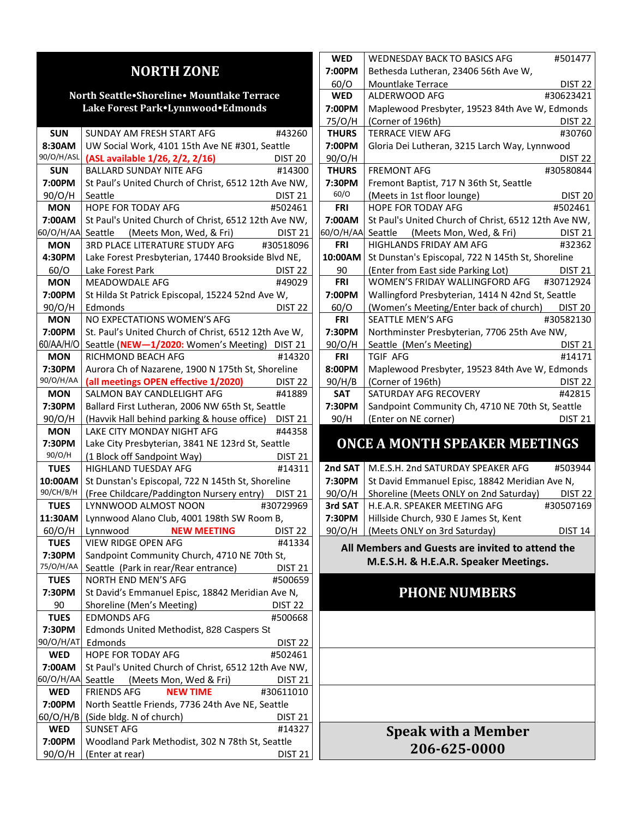## **NORTH ZONE**

#### **North SeattleShoreline Mountlake Terrace Lake Forest ParkLynnwoodEdmonds**

| <b>SUN</b>  | SUNDAY AM FRESH START AFG                            | #43260             |
|-------------|------------------------------------------------------|--------------------|
| 8:30AM      | UW Social Work, 4101 15th Ave NE #301, Seattle       |                    |
| 90/O/H/ASL  | (ASL available 1/26, 2/2, 2/16)                      | DIST <sub>20</sub> |
| <b>SUN</b>  | <b>BALLARD SUNDAY NITE AFG</b>                       | #14300             |
| 7:00PM      | St Paul's United Church of Christ, 6512 12th Ave NW, |                    |
| 90/O/H      | Seattle                                              | <b>DIST 21</b>     |
| <b>MON</b>  | HOPE FOR TODAY AFG                                   | #502461            |
| 7:00AM      | St Paul's United Church of Christ, 6512 12th Ave NW, |                    |
| 60/O/H/AA   | Seattle (Meets Mon, Wed, & Fri)                      | DIST 21            |
| <b>MON</b>  | 3RD PLACE LITERATURE STUDY AFG #30518096             |                    |
| 4:30PM      | Lake Forest Presbyterian, 17440 Brookside Blvd NE,   |                    |
| 60/O        | Lake Forest Park                                     | DIST <sub>22</sub> |
| <b>MON</b>  | <b>MEADOWDALE AFG</b>                                | #49029             |
| 7:00PM      | St Hilda St Patrick Episcopal, 15224 52nd Ave W,     |                    |
| 90/O/H      | Edmonds                                              | DIST <sub>22</sub> |
| <b>MON</b>  | NO EXPECTATIONS WOMEN'S AFG                          |                    |
| 7:00PM      | St. Paul's United Church of Christ, 6512 12th Ave W, |                    |
| 60/AA/H/O   | Seattle (NEW-1/2020: Women's Meeting) DIST 21        |                    |
| <b>MON</b>  | RICHMOND BEACH AFG                                   | #14320             |
| 7:30PM      | Aurora Ch of Nazarene, 1900 N 175th St, Shoreline    |                    |
| 90/O/H/AA   | (all meetings OPEN effective 1/2020)                 | DIST <sub>22</sub> |
| <b>MON</b>  | SALMON BAY CANDLELIGHT AFG                           | #41889             |
| 7:30PM      | Ballard First Lutheran, 2006 NW 65th St, Seattle     |                    |
| 90/O/H      | (Havvik Hall behind parking & house office) DIST 21  |                    |
| <b>MON</b>  | LAKE CITY MONDAY NIGHT AFG                           | #44358             |
| 7:30PM      | Lake City Presbyterian, 3841 NE 123rd St, Seattle    |                    |
| 90/O/H      | (1 Block off Sandpoint Way)                          | <b>DIST 21</b>     |
| <b>TUES</b> | <b>HIGHLAND TUESDAY AFG</b>                          | #14311             |
| 10:00AM     | St Dunstan's Episcopal, 722 N 145th St, Shoreline    |                    |
| 90/CH/B/H   | (Free Childcare/Paddington Nursery entry) DIST 21    |                    |
| <b>TUES</b> | LYNNWOOD ALMOST NOON                                 | #30729969          |
| 11:30AM     | Lynnwood Alano Club, 4001 198th SW Room B,           |                    |
| 60/O/H      | Lynnwood NEW MEETING                                 | DIST <sub>22</sub> |
| <b>TUES</b> | <b>VIEW RIDGE OPEN AFG</b>                           | #41334             |
| 7:30PM      | Sandpoint Community Church, 4710 NE 70th St,         |                    |
| 75/0/H/AA   | Seattle (Park in rear/Rear entrance)                 | <b>DIST 21</b>     |
| <b>TUES</b> | <b>NORTH END MEN'S AFG</b>                           | #500659            |
| 7:30PM      | St David's Emmanuel Episc, 18842 Meridian Ave N,     |                    |
| 90          | Shoreline (Men's Meeting)                            | DIST <sub>22</sub> |
| <b>TUES</b> | <b>EDMONDS AFG</b>                                   | #500668            |
| 7:30PM      | Edmonds United Methodist, 828 Caspers St             |                    |
| 90/O/H/AT   | Edmonds                                              | DIST <sub>22</sub> |
| <b>WED</b>  | HOPE FOR TODAY AFG                                   | #502461            |
| 7:00AM      | St Paul's United Church of Christ, 6512 12th Ave NW, |                    |
| 60/O/H/AA   | (Meets Mon, Wed & Fri)<br>Seattle                    | <b>DIST 21</b>     |
| <b>WED</b>  | <b>FRIENDS AFG</b><br><b>NEW TIME</b>                | #30611010          |
| 7:00PM      | North Seattle Friends, 7736 24th Ave NE, Seattle     |                    |
| 60/O/H/B    | (Side bldg. N of church)                             | DIST <sub>21</sub> |
| <b>WED</b>  | <b>SUNSET AFG</b>                                    | #14327             |
| 7:00PM      | Woodland Park Methodist, 302 N 78th St, Seattle      |                    |
| 90/O/H      | (Enter at rear)                                      | DIST 21            |

| <b>WED</b>   | <b>WEDNESDAY BACK TO BASICS AFG</b>                  | #501477                   |
|--------------|------------------------------------------------------|---------------------------|
| 7:00PM       | Bethesda Lutheran, 23406 56th Ave W,                 |                           |
| 60/O         | <b>Mountlake Terrace</b>                             | DIST <sub>22</sub>        |
| <b>WED</b>   | ALDERWOOD AFG                                        | #30623421                 |
| 7:00PM       | Maplewood Presbyter, 19523 84th Ave W, Edmonds       |                           |
| 75/0/H       | (Corner of 196th)                                    | DIST <sub>22</sub>        |
| <b>THURS</b> | <b>TERRACE VIEW AFG</b>                              | #30760                    |
| 7:00PM       | Gloria Dei Lutheran, 3215 Larch Way, Lynnwood        |                           |
| 90/O/H       |                                                      | DIST <sub>22</sub>        |
| <b>THURS</b> | <b>FREMONT AFG</b>                                   | #30580844                 |
| 7:30PM       | Fremont Baptist, 717 N 36th St, Seattle              |                           |
| 60/O         | (Meets in 1st floor lounge)                          | <b>DIST 20</b>            |
| <b>FRI</b>   | <b>HOPE FOR TODAY AFG</b>                            | #502461                   |
| 7:00AM       | St Paul's United Church of Christ, 6512 12th Ave NW, |                           |
| 60/O/H/AA    | Seattle (Meets Mon, Wed, & Fri)                      | <b>DIST 21</b>            |
| <b>FRI</b>   | <b>HIGHLANDS FRIDAY AM AFG</b>                       | #32362                    |
| 10:00AM      | St Dunstan's Episcopal, 722 N 145th St, Shoreline    |                           |
| 90           | (Enter from East side Parking Lot)                   | <b>Example 12</b> DIST 21 |
| <b>FRI</b>   | WOMEN'S FRIDAY WALLINGFORD AFG #30712924             |                           |
| 7:00PM       | Wallingford Presbyterian, 1414 N 42nd St, Seattle    |                           |
| 60/O         | (Women's Meeting/Enter back of church) DIST 20       |                           |
| <b>FRI</b>   | <b>SEATTLE MEN'S AFG</b>                             | #30582130                 |
| 7:30PM       | Northminster Presbyterian, 7706 25th Ave NW,         |                           |
| 90/O/H       | Seattle (Men's Meeting)                              | <b>DIST 21</b>            |
| <b>FRI</b>   | <b>TGIF AFG</b>                                      | #14171                    |
| 8:00PM       | Maplewood Presbyter, 19523 84th Ave W, Edmonds       |                           |
| 90/H/B       | (Corner of 196th)                                    | DIST <sub>22</sub>        |
| <b>SAT</b>   | SATURDAY AFG RECOVERY                                | #42815                    |
| 7:30PM       | Sandpoint Community Ch, 4710 NE 70th St, Seattle     |                           |
| 90/H         | (Enter on NE corner)                                 | <b>DIST 21</b>            |

## **ONCE A MONTH SPEAKER MEETINGS**

|         | 2nd SAT   M.E.S.H. 2nd SATURDAY SPEAKER AFG    | #503944            |
|---------|------------------------------------------------|--------------------|
| 7:30PM  | St David Emmanuel Episc, 18842 Meridian Ave N, |                    |
| 90/O/H  | Shoreline (Meets ONLY on 2nd Saturday)         | <b>DIST 22</b>     |
| 3rd SAT | H.E.A.R. SPEAKER MEETING AFG                   | #30507169          |
|         | 7:30PM   Hillside Church, 930 E James St, Kent |                    |
| 90/O/H  | (Meets ONLY on 3rd Saturday)                   | DIST <sub>14</sub> |
|         |                                                |                    |

**All Members and Guests are invited to attend the M.E.S.H. & H.E.A.R. Speaker Meetings.**

## **PHONE NUMBERS**

## **Speak with a Member 206-625-0000**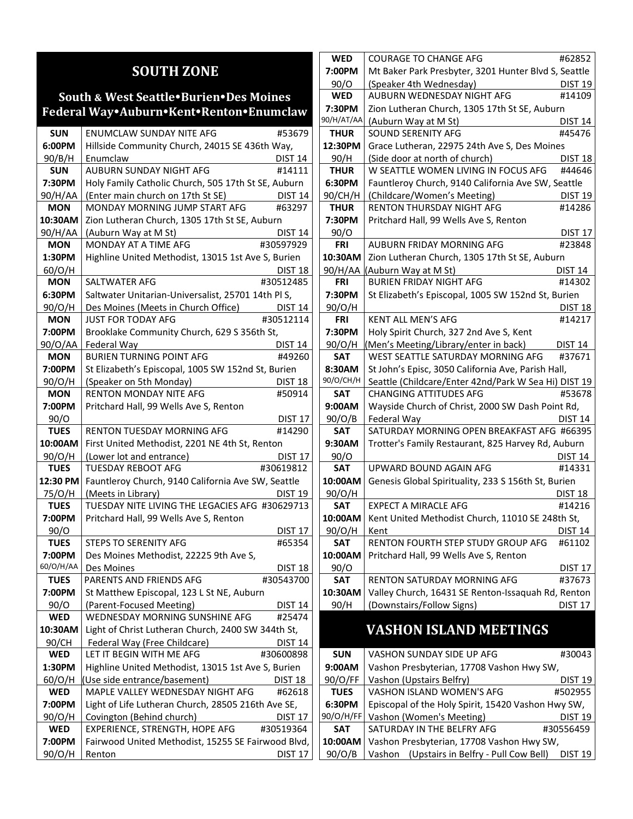## **SOUTH ZONE**

### **South & West SeattleBurienDes Moines Federal WayAuburnKentRentonEnumclaw**

| <b>SUN</b>       | ENUMCLAW SUNDAY NITE AFG<br>#53679                                                      |  |
|------------------|-----------------------------------------------------------------------------------------|--|
| 6:00PM           | Hillside Community Church, 24015 SE 436th Way,                                          |  |
| 90/B/H           | Enumclaw<br>DIST 14                                                                     |  |
| <b>SUN</b>       | AUBURN SUNDAY NIGHT AFG<br>#14111                                                       |  |
| 7:30PM           | Holy Family Catholic Church, 505 17th St SE, Auburn                                     |  |
| 90/H/AA          | (Enter main church on 17th St SE)<br><b>Example 14</b>                                  |  |
| <b>MON</b>       | MONDAY MORNING JUMP START AFG #63297                                                    |  |
| 10:30AM          | Zion Lutheran Church, 1305 17th St SE, Auburn                                           |  |
| 90/H/AA          | (Auburn Way at M St)<br><b>DIST 14</b>                                                  |  |
| MON              | MONDAY AT A TIME AFG<br>#30597929                                                       |  |
| 1:30PM           | Highline United Methodist, 13015 1st Ave S, Burien                                      |  |
| 60/O/H           | DIST 18                                                                                 |  |
| <b>MON</b>       | SALTWATER AFG<br>#30512485                                                              |  |
| 6:30PM           | Saltwater Unitarian-Universalist, 25701 14th Pl S,                                      |  |
| 90/O/H           | Des Moines (Meets in Church Office)<br>DIST 14                                          |  |
| <b>MON</b>       | #30512114<br><b>JUST FOR TODAY AFG</b>                                                  |  |
| 7:00PM           | Brooklake Community Church, 629 S 356th St,                                             |  |
| 90/O/AA          | Federal Way<br>DIST <sub>14</sub>                                                       |  |
| <b>MON</b>       | <b>BURIEN TURNING POINT AFG</b><br>#49260                                               |  |
| 7:00PM           | St Elizabeth's Episcopal, 1005 SW 152nd St, Burien                                      |  |
| 90/O/H           | (Speaker on 5th Monday)<br><b>DIST 18</b>                                               |  |
| <b>MON</b>       | <b>RENTON MONDAY NITE AFG</b><br>#50914                                                 |  |
| 7:00PM           | Pritchard Hall, 99 Wells Ave S, Renton                                                  |  |
| 90/O             | DIST <sub>17</sub>                                                                      |  |
| <b>TUES</b>      | <b>RENTON TUESDAY MORNING AFG</b><br>#14290                                             |  |
| 10:00AM          | First United Methodist, 2201 NE 4th St, Renton                                          |  |
| 90/O/H           | (Lower lot and entrance)<br>DIST <sub>17</sub>                                          |  |
| <b>TUES</b>      | <b>TUESDAY REBOOT AFG</b><br>#30619812                                                  |  |
| 12:30 PM         | Fauntleroy Church, 9140 California Ave SW, Seattle                                      |  |
| 75/O/H           | (Meets in Library)<br>DIST 19                                                           |  |
| <b>TUES</b>      | TUESDAY NITE LIVING THE LEGACIES AFG #30629713                                          |  |
| 7:00PM           | Pritchard Hall, 99 Wells Ave S, Renton                                                  |  |
| 90/O             | DIST <sub>17</sub>                                                                      |  |
| <b>TUES</b>      | #65354<br>STEPS TO SERENITY AFG                                                         |  |
| 7:00PM           | Des Moines Methodist, 22225 9th Ave S,                                                  |  |
| 60/O/H/AA        | <b>DIST 18</b><br>Des Moines                                                            |  |
| <b>TUES</b>      | PARENTS AND FRIENDS AFG<br>#30543700                                                    |  |
| 7:00PM           | St Matthew Episcopal, 123 L St NE, Auburn                                               |  |
| 90/O             | (Parent-Focused Meeting)<br><b>DIST 14</b><br>WEDNESDAY MORNING SUNSHINE AFG            |  |
| <b>WED</b>       | #25474                                                                                  |  |
| 10:30AM          | Light of Christ Lutheran Church, 2400 SW 344th St,                                      |  |
| 90/CH            | Federal Way (Free Childcare)<br><b>DIST 14</b><br>LET IT BEGIN WITH ME AFG<br>#30600898 |  |
| WED              |                                                                                         |  |
| 1:30PM<br>60/O/H | Highline United Methodist, 13015 1st Ave S, Burien<br>(Use side entrance/basement)      |  |
| <b>WED</b>       | <b>DIST 18</b><br>MAPLE VALLEY WEDNESDAY NIGHT AFG<br>#62618                            |  |
| 7:00PM           | Light of Life Lutheran Church, 28505 216th Ave SE,                                      |  |
| 90/O/H           | Covington (Behind church)                                                               |  |
| <b>WED</b>       | DIST <sub>17</sub><br>EXPERIENCE, STRENGTH, HOPE AFG<br>#30519364                       |  |
| 7:00PM           | Fairwood United Methodist, 15255 SE Fairwood Blvd,                                      |  |
| 90/O/H           |                                                                                         |  |
|                  | DIST <sub>17</sub><br>Renton                                                            |  |

| WED         | <b>COURAGE TO CHANGE AFG</b>                         | #62852             |
|-------------|------------------------------------------------------|--------------------|
| 7:00PM      | Mt Baker Park Presbyter, 3201 Hunter Blvd S, Seattle |                    |
| 90/O        | (Speaker 4th Wednesday)                              | <b>DIST 19</b>     |
| <b>WED</b>  | AUBURN WEDNESDAY NIGHT AFG                           | #14109             |
| 7:30PM      | Zion Lutheran Church, 1305 17th St SE, Auburn        |                    |
| 90/H/AT/AA  | (Auburn Way at M St)                                 | <b>DIST 14</b>     |
| <b>THUR</b> | SOUND SERENITY AFG                                   | #45476             |
| 12:30PM     | Grace Lutheran, 22975 24th Ave S, Des Moines         |                    |
| 90/H        | (Side door at north of church)                       | <b>DIST 18</b>     |
| <b>THUR</b> | W SEATTLE WOMEN LIVING IN FOCUS AFG                  | #44646             |
| 6:30PM      | Fauntleroy Church, 9140 California Ave SW, Seattle   |                    |
| 90/CH/H     | (Childcare/Women's Meeting)                          | <b>DIST 19</b>     |
| <b>THUR</b> | RENTON THURSDAY NIGHT AFG                            | #14286             |
| 7:30PM      | Pritchard Hall, 99 Wells Ave S, Renton               |                    |
| 90/O        |                                                      | <b>DIST 17</b>     |
| <b>FRI</b>  | AUBURN FRIDAY MORNING AFG                            | #23848             |
| 10:30AM     | Zion Lutheran Church, 1305 17th St SE, Auburn        |                    |
|             | 90/H/AA (Auburn Way at M St)                         | DIST 14            |
| <b>FRI</b>  | <b>BURIEN FRIDAY NIGHT AFG</b>                       | #14302             |
| 7:30PM      | St Elizabeth's Episcopal, 1005 SW 152nd St, Burien   |                    |
| 90/O/H      |                                                      | <u>DIST 18</u>     |
| <b>FRI</b>  | <b>KENT ALL MEN'S AFG</b>                            | #14217             |
| 7:30PM      | Holy Spirit Church, 327 2nd Ave S, Kent              |                    |
| 90/O/H      | (Men's Meeting/Library/enter in back)                | <b>DIST 14</b>     |
| SAT         | WEST SEATTLE SATURDAY MORNING AFG                    | #37671             |
| 8:30AM      | St John's Episc, 3050 California Ave, Parish Hall,   |                    |
| 90/O/CH/H   | Seattle (Childcare/Enter 42nd/Park W Sea Hi) DIST 19 |                    |
| SAT         | <b>CHANGING ATTITUDES AFG</b>                        | #53678             |
| 9:00AM      | Wayside Church of Christ, 2000 SW Dash Point Rd,     |                    |
| 90/O/B      | Federal Way                                          | DIST 14            |
| SAT         | SATURDAY MORNING OPEN BREAKFAST AFG #66395           |                    |
| 9:30AM      | Trotter's Family Restaurant, 825 Harvey Rd, Auburn   |                    |
| 90/O        |                                                      | <b>DIST 14</b>     |
| <b>SAT</b>  | UPWARD BOUND AGAIN AFG                               | #14331             |
| 10:00AM     | Genesis Global Spirituality, 233 S 156th St, Burien  |                    |
| 90/O/H      |                                                      | DIST 18            |
| <b>SAT</b>  | <b>EXPECT A MIRACLE AFG</b>                          | #14216             |
| 10:00AM     | Kent United Methodist Church, 11010 SE 248th St,     |                    |
| 90/O/H      | Kent                                                 | DIST 14            |
| <b>SAT</b>  | RENTON FOURTH STEP STUDY GROUP AFG                   | #61102             |
| 10:00AM     | Pritchard Hall, 99 Wells Ave S, Renton               |                    |
| 90/0        |                                                      | DIST <sub>17</sub> |
| SAT         | <b>RENTON SATURDAY MORNING AFG</b>                   | #37673             |
| 10:30AM     | Valley Church, 16431 SE Renton-Issaquah Rd, Renton   |                    |
| 90/H        | (Downstairs/Follow Signs)                            | DIST 17            |

## **VASHON ISLAND MEETINGS**

| <b>SUN</b>  | VASHON SUNDAY SIDE UP AFG                           | #30043         |
|-------------|-----------------------------------------------------|----------------|
| 9:00AM      | Vashon Presbyterian, 17708 Vashon Hwy SW,           |                |
| 90/O/FF     | Vashon (Upstairs Belfry)                            | <b>DIST 19</b> |
| <b>TUES</b> | VASHON ISLAND WOMEN'S AFG                           | #502955        |
| 6:30PM      | Episcopal of the Holy Spirit, 15420 Vashon Hwy SW,  |                |
| 90/O/H/FF   | Vashon (Women's Meeting)                            | <b>DIST 19</b> |
| <b>SAT</b>  | SATURDAY IN THE BELFRY AFG                          | #30556459      |
| 10:00AM     | Vashon Presbyterian, 17708 Vashon Hwy SW,           |                |
| 90/O/B      | Vashon (Upstairs in Belfry - Pull Cow Bell) DIST 19 |                |